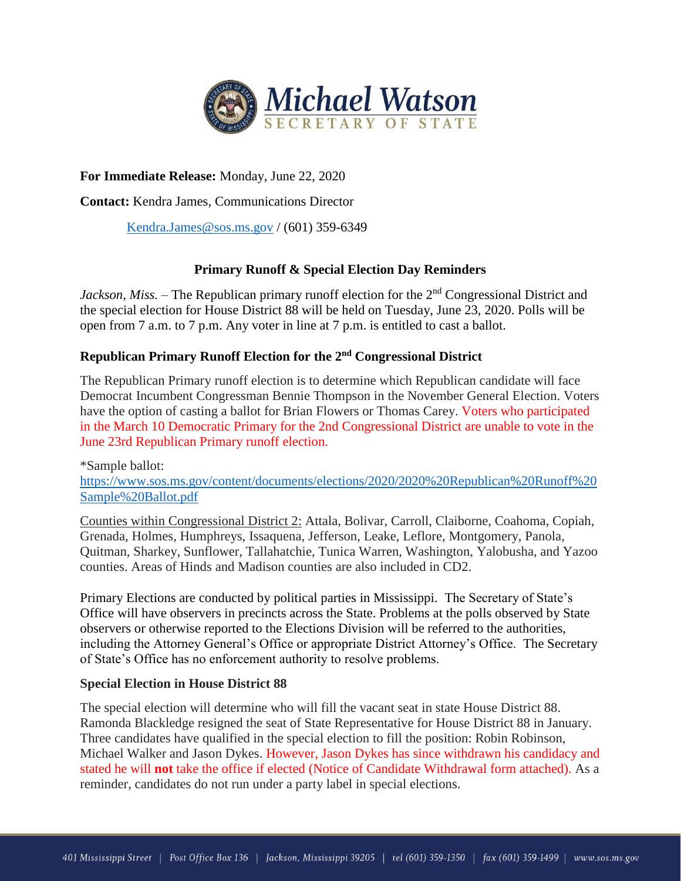

# **For Immediate Release:** Monday, June 22, 2020

**Contact:** Kendra James, Communications Director

[Kendra.James@sos.ms.gov](mailto:Kendra.James@sos.ms.gov) / (601) 359-6349

### **Primary Runoff & Special Election Day Reminders**

*Jackson, Miss.* – The Republican primary runoff election for the 2<sup>nd</sup> Congressional District and the special election for House District 88 will be held on Tuesday, June 23, 2020. Polls will be open from 7 a.m. to 7 p.m. Any voter in line at 7 p.m. is entitled to cast a ballot.

## **Republican Primary Runoff Election for the 2 nd Congressional District**

The Republican Primary runoff election is to determine which Republican candidate will face Democrat Incumbent Congressman Bennie Thompson in the November General Election. Voters have the option of casting a ballot for Brian Flowers or Thomas Carey. Voters who participated in the March 10 Democratic Primary for the 2nd Congressional District are unable to vote in the June 23rd Republican Primary runoff election.

\*Sample ballot: [https://www.sos.ms.gov/content/documents/elections/2020/2020%20Republican%20Runoff%20](https://www.sos.ms.gov/content/documents/elections/2020/2020%20Republican%20Runoff%20Sample%20Ballot.pdf) [Sample%20Ballot.pdf](https://www.sos.ms.gov/content/documents/elections/2020/2020%20Republican%20Runoff%20Sample%20Ballot.pdf)

Counties within Congressional District 2: Attala, Bolivar, Carroll, Claiborne, Coahoma, Copiah, Grenada, Holmes, Humphreys, Issaquena, Jefferson, Leake, Leflore, Montgomery, Panola, Quitman, Sharkey, Sunflower, Tallahatchie, Tunica Warren, Washington, Yalobusha, and Yazoo counties. Areas of Hinds and Madison counties are also included in CD2.

Primary Elections are conducted by political parties in Mississippi. The Secretary of State's Office will have observers in precincts across the State. Problems at the polls observed by State observers or otherwise reported to the Elections Division will be referred to the authorities, including the Attorney General's Office or appropriate District Attorney's Office. The Secretary of State's Office has no enforcement authority to resolve problems.

#### **Special Election in House District 88**

The special election will determine who will fill the vacant seat in state House District 88. Ramonda Blackledge resigned the seat of State Representative for House District 88 in January. Three candidates have qualified in the special election to fill the position: Robin Robinson, Michael Walker and Jason Dykes. However, Jason Dykes has since withdrawn his candidacy and stated he will **not** take the office if elected (Notice of Candidate Withdrawal form attached). As a reminder, candidates do not run under a party label in special elections.